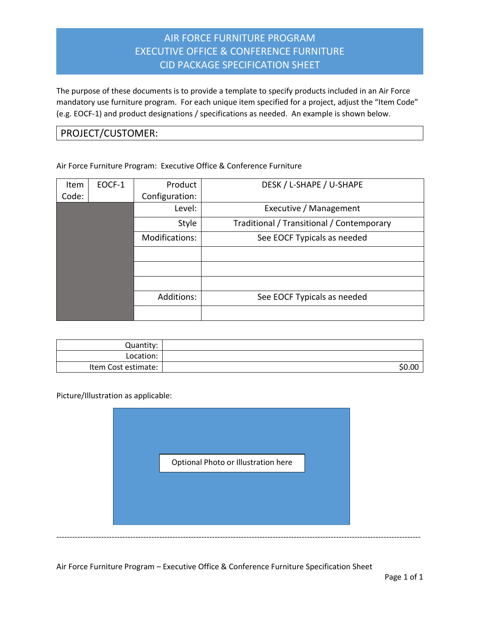## AIR FORCE FURNITURE PROGRAM EXECUTIVE OFFICE & CONFERENCE FURNITURE CID PACKAGE SPECIFICATION SHEET

The purpose of these documents is to provide a template to specify products included in an Air Force mandatory use furniture program. For each unique item specified for a project, adjust the "Item Code" (e.g. EOCF-1) and product designations / specifications as needed. An example is shown below.

## PROJECT/CUSTOMER:

Air Force Furniture Program: Executive Office & Conference Furniture

| Item  | EOCF-1 | Product        | DESK / L-SHAPE / U-SHAPE                  |
|-------|--------|----------------|-------------------------------------------|
| Code: |        | Configuration: |                                           |
|       |        | Level:         | Executive / Management                    |
|       |        | Style          | Traditional / Transitional / Contemporary |
|       |        | Modifications: | See EOCF Typicals as needed               |
|       |        |                |                                           |
|       |        |                |                                           |
|       |        |                |                                           |
|       |        | Additions:     | See EOCF Typicals as needed               |
|       |        |                |                                           |

| Quantity:           |        |
|---------------------|--------|
| Location:           |        |
| Item Cost estimate: | \$0.00 |

Picture/Illustration as applicable:



Air Force Furniture Program – Executive Office & Conference Furniture Specification Sheet